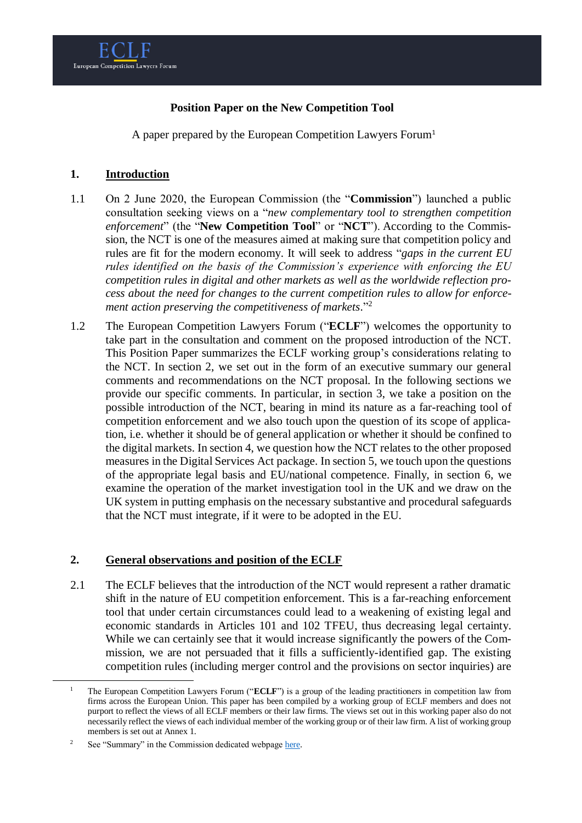

## **Position Paper on the New Competition Tool**

A paper prepared by the European Competition Lawyers Forum<sup>1</sup>

## **1. Introduction**

- 1.1 On 2 June 2020, the European Commission (the "**Commission**") launched a public consultation seeking views on a "*new complementary tool to strengthen competition enforcement*" (the "**New Competition Tool**" or "**NCT**"). According to the Commission, the NCT is one of the measures aimed at making sure that competition policy and rules are fit for the modern economy. It will seek to address "*gaps in the current EU rules identified on the basis of the Commission's experience with enforcing the EU competition rules in digital and other markets as well as the worldwide reflection process about the need for changes to the current competition rules to allow for enforcement action preserving the competitiveness of markets*." 2
- 1.2 The European Competition Lawyers Forum ("**ECLF**") welcomes the opportunity to take part in the consultation and comment on the proposed introduction of the NCT. This Position Paper summarizes the ECLF working group's considerations relating to the NCT. In section 2, we set out in the form of an executive summary our general comments and recommendations on the NCT proposal. In the following sections we provide our specific comments. In particular, in section 3, we take a position on the possible introduction of the NCT, bearing in mind its nature as a far-reaching tool of competition enforcement and we also touch upon the question of its scope of application, i.e. whether it should be of general application or whether it should be confined to the digital markets. In section 4, we question how the NCT relates to the other proposed measures in the Digital Services Act package. In section 5, we touch upon the questions of the appropriate legal basis and EU/national competence. Finally, in section 6, we examine the operation of the market investigation tool in the UK and we draw on the UK system in putting emphasis on the necessary substantive and procedural safeguards that the NCT must integrate, if it were to be adopted in the EU.

## **2. General observations and position of the ECLF**

2.1 The ECLF believes that the introduction of the NCT would represent a rather dramatic shift in the nature of EU competition enforcement. This is a far-reaching enforcement tool that under certain circumstances could lead to a weakening of existing legal and economic standards in Articles 101 and 102 TFEU, thus decreasing legal certainty. While we can certainly see that it would increase significantly the powers of the Commission, we are not persuaded that it fills a sufficiently-identified gap. The existing competition rules (including merger control and the provisions on sector inquiries) are

<sup>1</sup> The European Competition Lawyers Forum ("**ECLF**") is a group of the leading practitioners in competition law from firms across the European Union. This paper has been compiled by a working group of ECLF members and does not purport to reflect the views of all ECLF members or their law firms. The views set out in this working paper also do not necessarily reflect the views of each individual member of the working group or of their law firm. A list of working group members is set out at Annex 1.

<sup>&</sup>lt;sup>2</sup> See "Summary" in the Commission dedicated webpag[e here.](https://ec.europa.eu/info/law/better-regulation/have-your-say/initiatives/12416-New-competition-tool)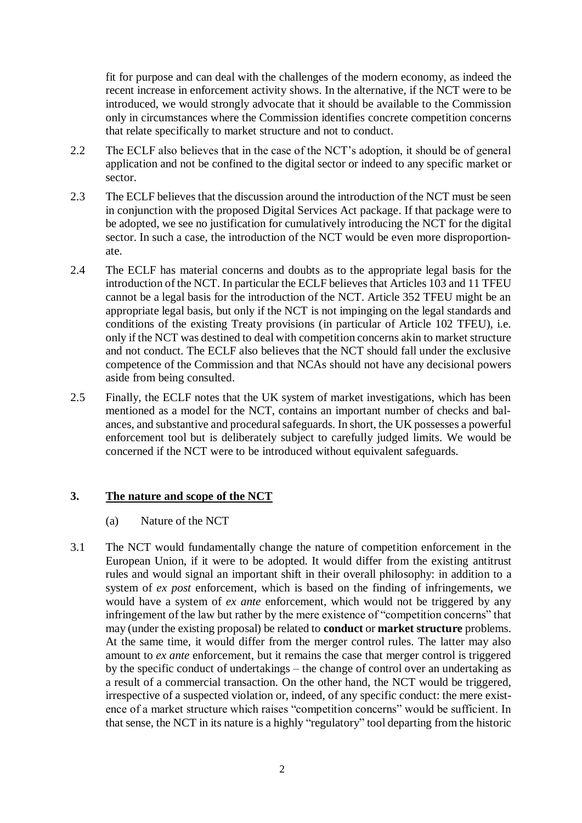fit for purpose and can deal with the challenges of the modern economy, as indeed the recent increase in enforcement activity shows. In the alternative, if the NCT were to be introduced, we would strongly advocate that it should be available to the Commission only in circumstances where the Commission identifies concrete competition concerns that relate specifically to market structure and not to conduct.

- 2.2 The ECLF also believes that in the case of the NCT's adoption, it should be of general application and not be confined to the digital sector or indeed to any specific market or sector.
- 2.3 The ECLF believes that the discussion around the introduction of the NCT must be seen in conjunction with the proposed Digital Services Act package. If that package were to be adopted, we see no justification for cumulatively introducing the NCT for the digital sector. In such a case, the introduction of the NCT would be even more disproportionate.
- 2.4 The ECLF has material concerns and doubts as to the appropriate legal basis for the introduction of the NCT. In particular the ECLF believes that Articles 103 and 11 TFEU cannot be a legal basis for the introduction of the NCT. Article 352 TFEU might be an appropriate legal basis, but only if the NCT is not impinging on the legal standards and conditions of the existing Treaty provisions (in particular of Article 102 TFEU), i.e. only if the NCT was destined to deal with competition concerns akin to market structure and not conduct. The ECLF also believes that the NCT should fall under the exclusive competence of the Commission and that NCAs should not have any decisional powers aside from being consulted.
- 2.5 Finally, the ECLF notes that the UK system of market investigations, which has been mentioned as a model for the NCT, contains an important number of checks and balances, and substantive and procedural safeguards. In short, the UK possesses a powerful enforcement tool but is deliberately subject to carefully judged limits. We would be concerned if the NCT were to be introduced without equivalent safeguards.

# **3. The nature and scope of the NCT**

- (a) Nature of the NCT
- 3.1 The NCT would fundamentally change the nature of competition enforcement in the European Union, if it were to be adopted. It would differ from the existing antitrust rules and would signal an important shift in their overall philosophy: in addition to a system of *ex post* enforcement, which is based on the finding of infringements, we would have a system of *ex ante* enforcement, which would not be triggered by any infringement of the law but rather by the mere existence of "competition concerns" that may (under the existing proposal) be related to **conduct** or **market structure** problems. At the same time, it would differ from the merger control rules. The latter may also amount to *ex ante* enforcement, but it remains the case that merger control is triggered by the specific conduct of undertakings – the change of control over an undertaking as a result of a commercial transaction. On the other hand, the NCT would be triggered, irrespective of a suspected violation or, indeed, of any specific conduct: the mere existence of a market structure which raises "competition concerns" would be sufficient. In that sense, the NCT in its nature is a highly "regulatory" tool departing from the historic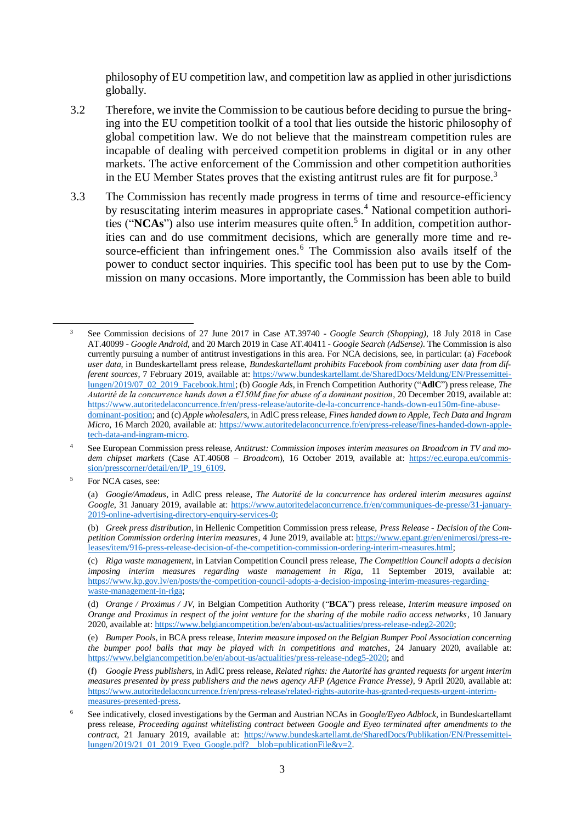philosophy of EU competition law, and competition law as applied in other jurisdictions globally.

- 3.2 Therefore, we invite the Commission to be cautious before deciding to pursue the bringing into the EU competition toolkit of a tool that lies outside the historic philosophy of global competition law. We do not believe that the mainstream competition rules are incapable of dealing with perceived competition problems in digital or in any other markets. The active enforcement of the Commission and other competition authorities in the EU Member States proves that the existing antitrust rules are fit for purpose.<sup>3</sup>
- 3.3 The Commission has recently made progress in terms of time and resource-efficiency by resuscitating interim measures in appropriate cases.<sup>4</sup> National competition authorities ("NCAs") also use interim measures quite often.<sup>5</sup> In addition, competition authorities can and do use commitment decisions, which are generally more time and resource-efficient than infringement ones.<sup>6</sup> The Commission also avails itself of the power to conduct sector inquiries. This specific tool has been put to use by the Commission on many occasions. More importantly, the Commission has been able to build

<sup>3</sup> See Commission decisions of 27 June 2017 in Case AT.39740 - *Google Search (Shopping)*, 18 July 2018 in Case AT.40099 - *Google Android*, and 20 March 2019 in Case AT.40411 - *Google Search (AdSense)*. The Commission is also currently pursuing a number of antitrust investigations in this area. For NCA decisions, see, in particular: (a) *Facebook user data*, in Bundeskartellamt press release, *Bundeskartellamt prohibits Facebook from combining user data from different sources*, 7 February 2019, available at: [https://www.bundeskartellamt.de/SharedDocs/Meldung/EN/Pressemittei](https://www.bundeskartellamt.de/SharedDocs/Meldung/EN/Pressemitteilungen/2019/07_02_2019_Facebook.html)[lungen/2019/07\\_02\\_2019\\_Facebook.html;](https://www.bundeskartellamt.de/SharedDocs/Meldung/EN/Pressemitteilungen/2019/07_02_2019_Facebook.html) (b) *Google Ads*, in French Competition Authority ("**AdlC**") press release, *The Autorité de la concurrence hands down a €150M fine for abuse of a dominant position*, 20 December 2019, available at: [https://www.autoritedelaconcurrence.fr/en/press-release/autorite-de-la-concurrence-hands-down-eu150m-fine-abuse](https://www.autoritedelaconcurrence.fr/en/press-release/autorite-de-la-concurrence-hands-down-eu150m-fine-abuse-dominant-position)[dominant-position;](https://www.autoritedelaconcurrence.fr/en/press-release/autorite-de-la-concurrence-hands-down-eu150m-fine-abuse-dominant-position) and (c) *Apple wholesalers*, in AdlC press release, *Fines handed down to Apple, Tech Data and Ingram Micro*, 16 March 2020, available at: [https://www.autoritedelaconcurrence.fr/en/press-release/fines-handed-down-apple](https://www.autoritedelaconcurrence.fr/en/press-release/fines-handed-down-apple-tech-data-and-ingram-micro)[tech-data-and-ingram-micro.](https://www.autoritedelaconcurrence.fr/en/press-release/fines-handed-down-apple-tech-data-and-ingram-micro)

<sup>4</sup> See European Commission press release, *Antitrust: Commission imposes interim measures on Broadcom in TV and modem chipset markets* (Case AT.40608 – *Broadcom*), 16 October 2019, available at: [https://ec.europa.eu/commis](https://ec.europa.eu/commission/presscorner/detail/en/IP_19_6109)[sion/presscorner/detail/en/IP\\_19\\_6109.](https://ec.europa.eu/commission/presscorner/detail/en/IP_19_6109)

<sup>&</sup>lt;sup>5</sup> For NCA cases, see:

<sup>(</sup>a) *Google/Amadeus*, in AdlC press release, *The Autorité de la concurrence has ordered interim measures against Google*, 31 January 2019, available at: [https://www.autoritedelaconcurrence.fr/en/communiques-de-presse/31-january-](https://www.autoritedelaconcurrence.fr/en/communiques-de-presse/31-january-2019-online-advertising-directory-enquiry-services-0)[2019-online-advertising-directory-enquiry-services-0;](https://www.autoritedelaconcurrence.fr/en/communiques-de-presse/31-january-2019-online-advertising-directory-enquiry-services-0)

<sup>(</sup>b) *Greek press distribution*, in Hellenic Competition Commission press release, *Press Release - Decision of the Competition Commission ordering interim measures*, 4 June 2019, available at: [https://www.epant.gr/en/enimerosi/press-re](https://www.epant.gr/en/enimerosi/press-releases/item/916-press-release-decision-of-the-competition-commission-ordering-interim-measures.html)[leases/item/916-press-release-decision-of-the-competition-commission-ordering-interim-measures.html;](https://www.epant.gr/en/enimerosi/press-releases/item/916-press-release-decision-of-the-competition-commission-ordering-interim-measures.html)

<sup>(</sup>c) *Riga waste management*, in Latvian Competition Council press release, *The Competition Council adopts a decision imposing interim measures regarding waste management in Riga*, 11 September 2019, available at: [https://www.kp.gov.lv/en/posts/the-competition-council-adopts-a-decision-imposing-interim-measures-regarding](https://www.kp.gov.lv/en/posts/the-competition-council-adopts-a-decision-imposing-interim-measures-regarding-waste-management-in-riga)[waste-management-in-riga;](https://www.kp.gov.lv/en/posts/the-competition-council-adopts-a-decision-imposing-interim-measures-regarding-waste-management-in-riga) 

<sup>(</sup>d) *Orange / Proximus / JV*, in Belgian Competition Authority ("**BCA**") press release, *Interim measure imposed on Orange and Proximus in respect of the joint venture for the sharing of the mobile radio access networks*, 10 January 2020, available at[: https://www.belgiancompetition.be/en/about-us/actualities/press-release-ndeg2-2020;](https://www.belgiancompetition.be/en/about-us/actualities/press-release-ndeg2-2020)

<sup>(</sup>e) *Bumper Pools*, in BCA press release, *Interim measure imposed on the Belgian Bumper Pool Association concerning the bumper pool balls that may be played with in competitions and matches*, 24 January 2020, available at: [https://www.belgiancompetition.be/en/about-us/actualities/press-release-ndeg5-2020;](https://www.belgiancompetition.be/en/about-us/actualities/press-release-ndeg5-2020) and

<sup>(</sup>f) *Google Press publishers*, in AdlC press release, *Related rights: the Autorité has granted requests for urgent interim measures presented by press publishers and the news agency AFP (Agence France Presse)*, 9 April 2020, available at: [https://www.autoritedelaconcurrence.fr/en/press-release/related-rights-autorite-has-granted-requests-urgent-interim](https://www.autoritedelaconcurrence.fr/en/press-release/related-rights-autorite-has-granted-requests-urgent-interim-measures-presented-press)[measures-presented-press.](https://www.autoritedelaconcurrence.fr/en/press-release/related-rights-autorite-has-granted-requests-urgent-interim-measures-presented-press)

<sup>6</sup> See indicatively, closed investigations by the German and Austrian NCAs in *Google/Eyeo Adblock*, in Bundeskartellamt press release, *Proceeding against whitelisting contract between Google and Eyeo terminated after amendments to the contract*, 21 January 2019, available at: [https://www.bundeskartellamt.de/SharedDocs/Publikation/EN/Pressemittei-](https://www.bundeskartellamt.de/SharedDocs/Publikation/EN/Pressemitteilungen/2019/21_01_2019_Eyeo_Google.pdf?__blob=publicationFile&v=2) $\frac{1}{2019/21}$  01 2019 Eyeo Google.pdf? blob=publicationFile&v=2.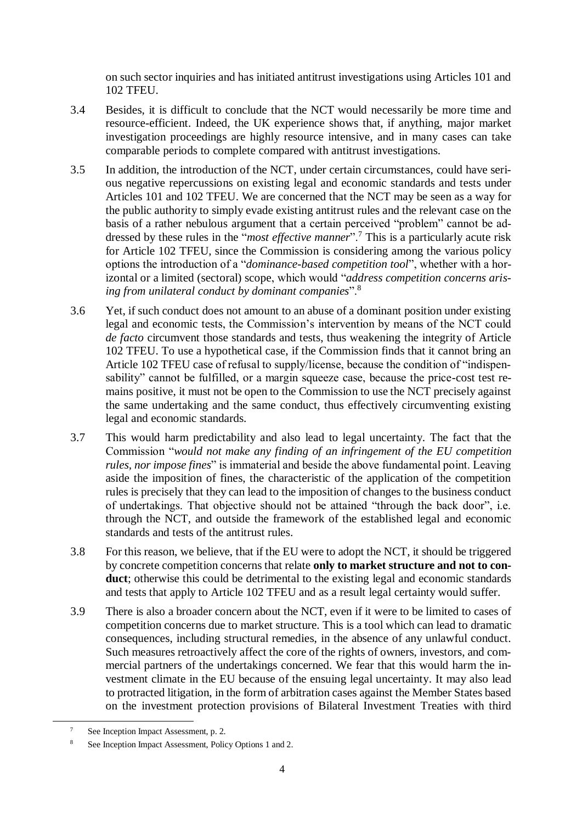on such sector inquiries and has initiated antitrust investigations using Articles 101 and 102 TFEU.

- 3.4 Besides, it is difficult to conclude that the NCT would necessarily be more time and resource-efficient. Indeed, the UK experience shows that, if anything, major market investigation proceedings are highly resource intensive, and in many cases can take comparable periods to complete compared with antitrust investigations.
- 3.5 In addition, the introduction of the NCT, under certain circumstances, could have serious negative repercussions on existing legal and economic standards and tests under Articles 101 and 102 TFEU. We are concerned that the NCT may be seen as a way for the public authority to simply evade existing antitrust rules and the relevant case on the basis of a rather nebulous argument that a certain perceived "problem" cannot be addressed by these rules in the "*most effective manner*".<sup>7</sup> This is a particularly acute risk for Article 102 TFEU, since the Commission is considering among the various policy options the introduction of a "*dominance-based competition tool*", whether with a horizontal or a limited (sectoral) scope, which would "*address competition concerns arising from unilateral conduct by dominant companies*".<sup>8</sup>
- 3.6 Yet, if such conduct does not amount to an abuse of a dominant position under existing legal and economic tests, the Commission's intervention by means of the NCT could *de facto* circumvent those standards and tests, thus weakening the integrity of Article 102 TFEU. To use a hypothetical case, if the Commission finds that it cannot bring an Article 102 TFEU case of refusal to supply/license, because the condition of "indispensability" cannot be fulfilled, or a margin squeeze case, because the price-cost test remains positive, it must not be open to the Commission to use the NCT precisely against the same undertaking and the same conduct, thus effectively circumventing existing legal and economic standards.
- 3.7 This would harm predictability and also lead to legal uncertainty. The fact that the Commission "*would not make any finding of an infringement of the EU competition rules, nor impose fines*" is immaterial and beside the above fundamental point. Leaving aside the imposition of fines, the characteristic of the application of the competition rules is precisely that they can lead to the imposition of changes to the business conduct of undertakings. That objective should not be attained "through the back door", i.e. through the NCT, and outside the framework of the established legal and economic standards and tests of the antitrust rules.
- 3.8 For this reason, we believe, that if the EU were to adopt the NCT, it should be triggered by concrete competition concerns that relate **only to market structure and not to conduct**; otherwise this could be detrimental to the existing legal and economic standards and tests that apply to Article 102 TFEU and as a result legal certainty would suffer.
- 3.9 There is also a broader concern about the NCT, even if it were to be limited to cases of competition concerns due to market structure. This is a tool which can lead to dramatic consequences, including structural remedies, in the absence of any unlawful conduct. Such measures retroactively affect the core of the rights of owners, investors, and commercial partners of the undertakings concerned. We fear that this would harm the investment climate in the EU because of the ensuing legal uncertainty. It may also lead to protracted litigation, in the form of arbitration cases against the Member States based on the investment protection provisions of Bilateral Investment Treaties with third

See Inception Impact Assessment, p. 2.

See Inception Impact Assessment, Policy Options 1 and 2.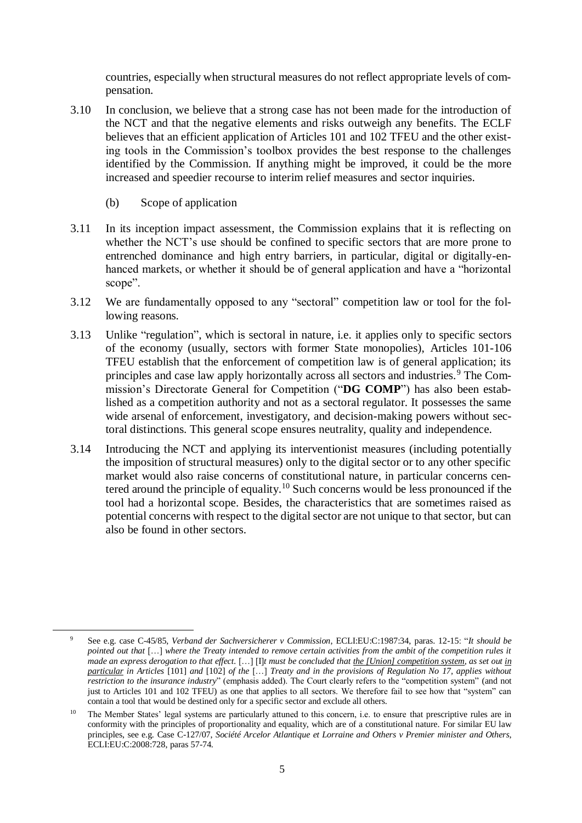countries, especially when structural measures do not reflect appropriate levels of compensation.

- 3.10 In conclusion, we believe that a strong case has not been made for the introduction of the NCT and that the negative elements and risks outweigh any benefits. The ECLF believes that an efficient application of Articles 101 and 102 TFEU and the other existing tools in the Commission's toolbox provides the best response to the challenges identified by the Commission. If anything might be improved, it could be the more increased and speedier recourse to interim relief measures and sector inquiries.
	- (b) Scope of application

- 3.11 In its inception impact assessment, the Commission explains that it is reflecting on whether the NCT's use should be confined to specific sectors that are more prone to entrenched dominance and high entry barriers, in particular, digital or digitally-enhanced markets, or whether it should be of general application and have a "horizontal scope".
- 3.12 We are fundamentally opposed to any "sectoral" competition law or tool for the following reasons.
- 3.13 Unlike "regulation", which is sectoral in nature, i.e. it applies only to specific sectors of the economy (usually, sectors with former State monopolies), Articles 101-106 TFEU establish that the enforcement of competition law is of general application; its principles and case law apply horizontally across all sectors and industries.<sup>9</sup> The Commission's Directorate General for Competition ("**DG COMP**") has also been established as a competition authority and not as a sectoral regulator. It possesses the same wide arsenal of enforcement, investigatory, and decision-making powers without sectoral distinctions. This general scope ensures neutrality, quality and independence.
- 3.14 Introducing the NCT and applying its interventionist measures (including potentially the imposition of structural measures) only to the digital sector or to any other specific market would also raise concerns of constitutional nature, in particular concerns centered around the principle of equality.<sup>10</sup> Such concerns would be less pronounced if the tool had a horizontal scope. Besides, the characteristics that are sometimes raised as potential concerns with respect to the digital sector are not unique to that sector, but can also be found in other sectors.

<sup>9</sup> See e.g. case C-45/85, *Verband der Sachversicherer v Commission*, ECLI:EU:C:1987:34, paras. 12-15: "*It should be pointed out that* […] *where the Treaty intended to remove certain activities from the ambit of the competition rules it made an express derogation to that effect.* […] [I]*t must be concluded that the [Union] competition system, as set out in particular in Articles* [101] *and* [102] *of the* […] *Treaty and in the provisions of Regulation No 17, applies without restriction to the insurance industry*" (emphasis added). The Court clearly refers to the "competition system" (and not just to Articles 101 and 102 TFEU) as one that applies to all sectors. We therefore fail to see how that "system" can contain a tool that would be destined only for a specific sector and exclude all others.

<sup>&</sup>lt;sup>10</sup> The Member States' legal systems are particularly attuned to this concern, i.e. to ensure that prescriptive rules are in conformity with the principles of proportionality and equality, which are of a constitutional nature. For similar EU law principles, see e.g. Case C-127/07, *Société Arcelor Atlantique et Lorraine and Others v Premier minister and Others*, ECLI:EU:C:2008:728, paras 57-74.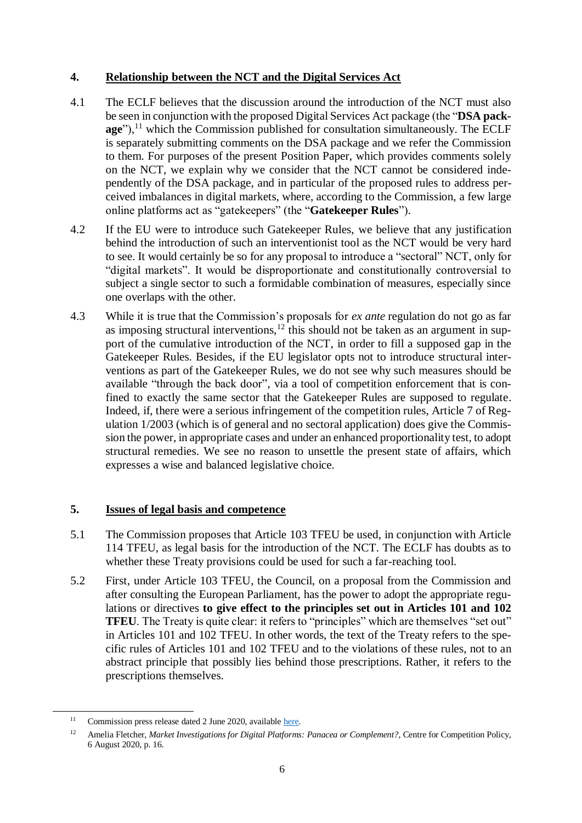# **4. Relationship between the NCT and the Digital Services Act**

- 4.1 The ECLF believes that the discussion around the introduction of the NCT must also be seen in conjunction with the proposed Digital Services Act package (the "**DSA pack** $a\mathbf{g}e^{\gamma}$ ,<sup>11</sup> which the Commission published for consultation simultaneously. The ECLF is separately submitting comments on the DSA package and we refer the Commission to them. For purposes of the present Position Paper, which provides comments solely on the NCT, we explain why we consider that the NCT cannot be considered independently of the DSA package, and in particular of the proposed rules to address perceived imbalances in digital markets, where, according to the Commission, a few large online platforms act as "gatekeepers" (the "**Gatekeeper Rules**").
- 4.2 If the EU were to introduce such Gatekeeper Rules, we believe that any justification behind the introduction of such an interventionist tool as the NCT would be very hard to see. It would certainly be so for any proposal to introduce a "sectoral" NCT, only for "digital markets". It would be disproportionate and constitutionally controversial to subject a single sector to such a formidable combination of measures, especially since one overlaps with the other.
- 4.3 While it is true that the Commission's proposals for *ex ante* regulation do not go as far as imposing structural interventions,<sup>12</sup> this should not be taken as an argument in support of the cumulative introduction of the NCT, in order to fill a supposed gap in the Gatekeeper Rules. Besides, if the EU legislator opts not to introduce structural interventions as part of the Gatekeeper Rules, we do not see why such measures should be available "through the back door", via a tool of competition enforcement that is confined to exactly the same sector that the Gatekeeper Rules are supposed to regulate. Indeed, if, there were a serious infringement of the competition rules, Article 7 of Regulation 1/2003 (which is of general and no sectoral application) does give the Commission the power, in appropriate cases and under an enhanced proportionality test, to adopt structural remedies. We see no reason to unsettle the present state of affairs, which expresses a wise and balanced legislative choice.

# **5. Issues of legal basis and competence**

- 5.1 The Commission proposes that Article 103 TFEU be used, in conjunction with Article 114 TFEU, as legal basis for the introduction of the NCT. The ECLF has doubts as to whether these Treaty provisions could be used for such a far-reaching tool.
- 5.2 First, under Article 103 TFEU, the Council, on a proposal from the Commission and after consulting the European Parliament, has the power to adopt the appropriate regulations or directives **to give effect to the principles set out in Articles 101 and 102 TFEU**. The Treaty is quite clear: it refers to "principles" which are themselves "set out" in Articles 101 and 102 TFEU. In other words, the text of the Treaty refers to the specific rules of Articles 101 and 102 TFEU and to the violations of these rules, not to an abstract principle that possibly lies behind those prescriptions. Rather, it refers to the prescriptions themselves.

<sup>&</sup>lt;sup>11</sup> Commission press release dated 2 June 2020, available [here.](https://ec.europa.eu/commission/presscorner/detail/en/ip_20_962)

<sup>12</sup> Amelia Fletcher, *Market Investigations for Digital Platforms: Panacea or Complement?*, Centre for Competition Policy, 6 August 2020, p. 16.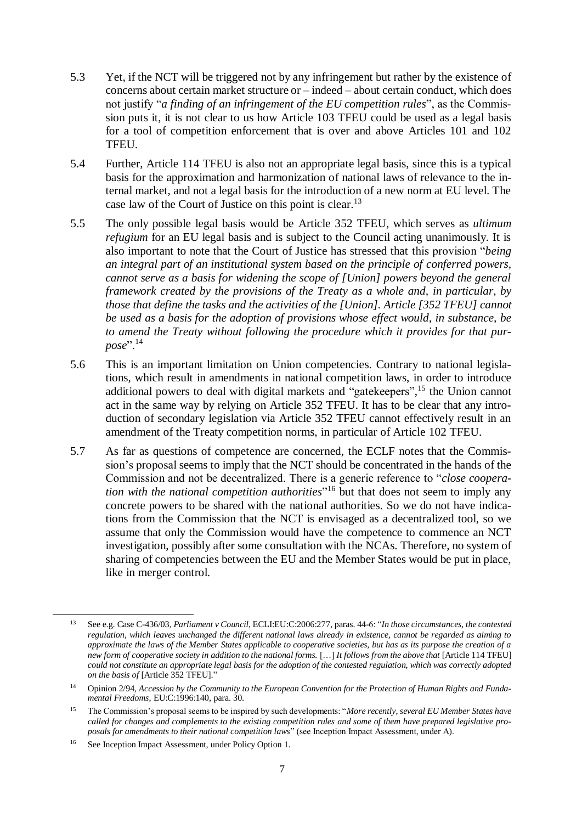- 5.3 Yet, if the NCT will be triggered not by any infringement but rather by the existence of concerns about certain market structure or – indeed – about certain conduct, which does not justify "*a finding of an infringement of the EU competition rules*", as the Commission puts it, it is not clear to us how Article 103 TFEU could be used as a legal basis for a tool of competition enforcement that is over and above Articles 101 and 102 TFEU.
- 5.4 Further, Article 114 TFEU is also not an appropriate legal basis, since this is a typical basis for the approximation and harmonization of national laws of relevance to the internal market, and not a legal basis for the introduction of a new norm at EU level. The case law of the Court of Justice on this point is clear.<sup>13</sup>
- 5.5 The only possible legal basis would be Article 352 TFEU, which serves as *ultimum refugium* for an EU legal basis and is subject to the Council acting unanimously. It is also important to note that the Court of Justice has stressed that this provision "*being an integral part of an institutional system based on the principle of conferred powers, cannot serve as a basis for widening the scope of [Union] powers beyond the general framework created by the provisions of the Treaty as a whole and, in particular, by those that define the tasks and the activities of the [Union]. Article [352 TFEU] cannot be used as a basis for the adoption of provisions whose effect would, in substance, be to amend the Treaty without following the procedure which it provides for that purpose*".<sup>14</sup>
- 5.6 This is an important limitation on Union competencies. Contrary to national legislations, which result in amendments in national competition laws, in order to introduce additional powers to deal with digital markets and "gatekeepers", <sup>15</sup> the Union cannot act in the same way by relying on Article 352 TFEU. It has to be clear that any introduction of secondary legislation via Article 352 TFEU cannot effectively result in an amendment of the Treaty competition norms, in particular of Article 102 TFEU.
- 5.7 As far as questions of competence are concerned, the ECLF notes that the Commission's proposal seems to imply that the NCT should be concentrated in the hands of the Commission and not be decentralized. There is a generic reference to "*close cooperation with the national competition authorities*" <sup>16</sup> but that does not seem to imply any concrete powers to be shared with the national authorities. So we do not have indications from the Commission that the NCT is envisaged as a decentralized tool, so we assume that only the Commission would have the competence to commence an NCT investigation, possibly after some consultation with the NCAs. Therefore, no system of sharing of competencies between the EU and the Member States would be put in place, like in merger control.

<sup>13</sup> See e.g. Case C-436/03, *Parliament v Council*, ECLI:EU:C:2006:277, paras. 44-6: "*In those circumstances, the contested regulation, which leaves unchanged the different national laws already in existence, cannot be regarded as aiming to approximate the laws of the Member States applicable to cooperative societies, but has as its purpose the creation of a new form of cooperative society in addition to the national forms.* […] *It follows from the above that* [Article 114 TFEU] *could not constitute an appropriate legal basis for the adoption of the contested regulation, which was correctly adopted on the basis of* [Article 352 TFEU]."

<sup>14</sup> Opinion 2/94, *Accession by the Community to the European Convention for the Protection of Human Rights and Fundamental Freedoms*, EU:C:1996:140, para. 30.

<sup>15</sup> The Commission's proposal seems to be inspired by such developments: "*More recently, several EU Member States have called for changes and complements to the existing competition rules and some of them have prepared legislative proposals for amendments to their national competition laws*" (see Inception Impact Assessment, under A).

<sup>16</sup> See Inception Impact Assessment, under Policy Option 1.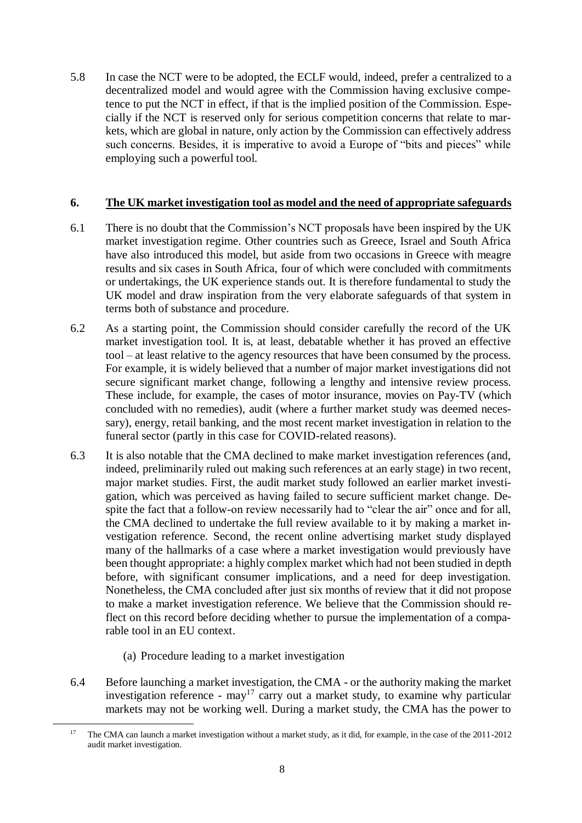5.8 In case the NCT were to be adopted, the ECLF would, indeed, prefer a centralized to a decentralized model and would agree with the Commission having exclusive competence to put the NCT in effect, if that is the implied position of the Commission. Especially if the NCT is reserved only for serious competition concerns that relate to markets, which are global in nature, only action by the Commission can effectively address such concerns. Besides, it is imperative to avoid a Europe of "bits and pieces" while employing such a powerful tool.

# **6. The UK market investigation tool as model and the need of appropriate safeguards**

- 6.1 There is no doubt that the Commission's NCT proposals have been inspired by the UK market investigation regime. Other countries such as Greece, Israel and South Africa have also introduced this model, but aside from two occasions in Greece with meagre results and six cases in South Africa, four of which were concluded with commitments or undertakings, the UK experience stands out. It is therefore fundamental to study the UK model and draw inspiration from the very elaborate safeguards of that system in terms both of substance and procedure.
- 6.2 As a starting point, the Commission should consider carefully the record of the UK market investigation tool. It is, at least, debatable whether it has proved an effective tool – at least relative to the agency resources that have been consumed by the process. For example, it is widely believed that a number of major market investigations did not secure significant market change, following a lengthy and intensive review process. These include, for example, the cases of motor insurance, movies on Pay-TV (which concluded with no remedies), audit (where a further market study was deemed necessary), energy, retail banking, and the most recent market investigation in relation to the funeral sector (partly in this case for COVID-related reasons).
- 6.3 It is also notable that the CMA declined to make market investigation references (and, indeed, preliminarily ruled out making such references at an early stage) in two recent, major market studies. First, the audit market study followed an earlier market investigation, which was perceived as having failed to secure sufficient market change. Despite the fact that a follow-on review necessarily had to "clear the air" once and for all, the CMA declined to undertake the full review available to it by making a market investigation reference. Second, the recent online advertising market study displayed many of the hallmarks of a case where a market investigation would previously have been thought appropriate: a highly complex market which had not been studied in depth before, with significant consumer implications, and a need for deep investigation. Nonetheless, the CMA concluded after just six months of review that it did not propose to make a market investigation reference. We believe that the Commission should reflect on this record before deciding whether to pursue the implementation of a comparable tool in an EU context.
	- (a) Procedure leading to a market investigation

1

6.4 Before launching a market investigation, the CMA - or the authority making the market investigation reference -  $\text{may}^{17}$  carry out a market study, to examine why particular markets may not be working well. During a market study, the CMA has the power to

<sup>17</sup> The CMA can launch a market investigation without a market study, as it did, for example, in the case of the 2011-2012 audit market investigation.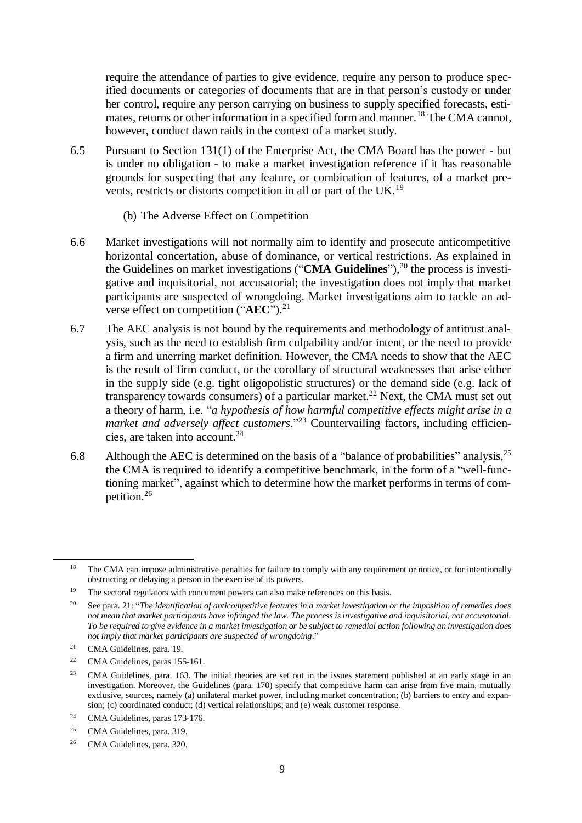require the attendance of parties to give evidence, require any person to produce specified documents or categories of documents that are in that person's custody or under her control, require any person carrying on business to supply specified forecasts, estimates, returns or other information in a specified form and manner.<sup>18</sup> The CMA cannot, however, conduct dawn raids in the context of a market study.

- 6.5 Pursuant to Section 131(1) of the Enterprise Act, the CMA Board has the power but is under no obligation - to make a market investigation reference if it has reasonable grounds for suspecting that any feature, or combination of features, of a market prevents, restricts or distorts competition in all or part of the UK.<sup>19</sup>
	- (b) The Adverse Effect on Competition
- 6.6 Market investigations will not normally aim to identify and prosecute anticompetitive horizontal concertation, abuse of dominance, or vertical restrictions. As explained in the Guidelines on market investigations ("**CMA Guidelines**"),<sup>20</sup> the process is investigative and inquisitorial, not accusatorial; the investigation does not imply that market participants are suspected of wrongdoing. Market investigations aim to tackle an adverse effect on competition ("AEC").<sup>21</sup>
- 6.7 The AEC analysis is not bound by the requirements and methodology of antitrust analysis, such as the need to establish firm culpability and/or intent, or the need to provide a firm and unerring market definition. However, the CMA needs to show that the AEC is the result of firm conduct, or the corollary of structural weaknesses that arise either in the supply side (e.g. tight oligopolistic structures) or the demand side (e.g. lack of transparency towards consumers) of a particular market.<sup>22</sup> Next, the CMA must set out a theory of harm, i.e. "*a hypothesis of how harmful competitive effects might arise in a market and adversely affect customers*." <sup>23</sup> Countervailing factors, including efficiencies, are taken into account.<sup>24</sup>
- 6.8 Although the AEC is determined on the basis of a "balance of probabilities" analysis,  $2^5$ the CMA is required to identify a competitive benchmark, in the form of a "well-functioning market", against which to determine how the market performs in terms of competition.<sup>26</sup>

<sup>&</sup>lt;sup>18</sup> The CMA can impose administrative penalties for failure to comply with any requirement or notice, or for intentionally obstructing or delaying a person in the exercise of its powers.

<sup>&</sup>lt;sup>19</sup> The sectoral regulators with concurrent powers can also make references on this basis.

<sup>20</sup> See para. 21: "*The identification of anticompetitive features in a market investigation or the imposition of remedies does not mean that market participants have infringed the law. The process is investigative and inquisitorial, not accusatorial. To be required to give evidence in a market investigation or be subject to remedial action following an investigation does not imply that market participants are suspected of wrongdoing*."

<sup>21</sup> CMA Guidelines, para. 19.

<sup>22</sup> CMA Guidelines, paras 155-161.

<sup>&</sup>lt;sup>23</sup> CMA Guidelines, para. 163. The initial theories are set out in the issues statement published at an early stage in an investigation. Moreover, the Guidelines (para. 170) specify that competitive harm can arise from five main, mutually exclusive, sources, namely (a) unilateral market power, including market concentration; (b) barriers to entry and expansion; (c) coordinated conduct; (d) vertical relationships; and (e) weak customer response.

<sup>&</sup>lt;sup>24</sup> CMA Guidelines, paras 173-176.

<sup>25</sup> CMA Guidelines, para. 319.

<sup>26</sup> CMA Guidelines, para. 320.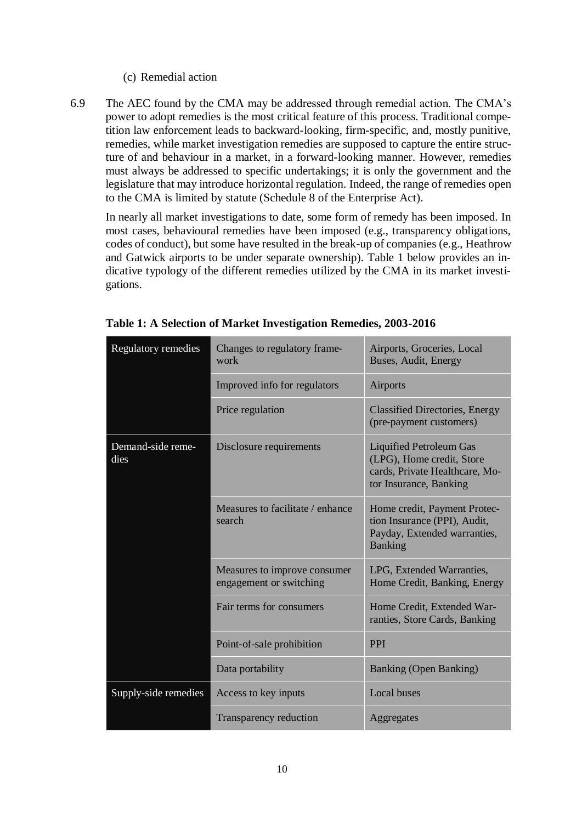#### (c) Remedial action

6.9 The AEC found by the CMA may be addressed through remedial action. The CMA's power to adopt remedies is the most critical feature of this process. Traditional competition law enforcement leads to backward-looking, firm-specific, and, mostly punitive, remedies, while market investigation remedies are supposed to capture the entire structure of and behaviour in a market, in a forward-looking manner. However, remedies must always be addressed to specific undertakings; it is only the government and the legislature that may introduce horizontal regulation. Indeed, the range of remedies open to the CMA is limited by statute (Schedule 8 of the Enterprise Act).

In nearly all market investigations to date, some form of remedy has been imposed. In most cases, behavioural remedies have been imposed (e.g., transparency obligations, codes of conduct), but some have resulted in the break-up of companies (e.g., Heathrow and Gatwick airports to be under separate ownership). Table 1 below provides an indicative typology of the different remedies utilized by the CMA in its market investigations.

| Regulatory remedies       | Changes to regulatory frame-<br>work                    | Airports, Groceries, Local<br>Buses, Audit, Energy                                                                      |
|---------------------------|---------------------------------------------------------|-------------------------------------------------------------------------------------------------------------------------|
|                           | Improved info for regulators                            | Airports                                                                                                                |
|                           | Price regulation                                        | <b>Classified Directories, Energy</b><br>(pre-payment customers)                                                        |
| Demand-side reme-<br>dies | Disclosure requirements                                 | <b>Liquified Petroleum Gas</b><br>(LPG), Home credit, Store<br>cards, Private Healthcare, Mo-<br>tor Insurance, Banking |
|                           | Measures to facilitate / enhance<br>search              | Home credit, Payment Protec-<br>tion Insurance (PPI), Audit,<br>Payday, Extended warranties,<br><b>Banking</b>          |
|                           | Measures to improve consumer<br>engagement or switching | LPG, Extended Warranties,<br>Home Credit, Banking, Energy                                                               |
|                           | Fair terms for consumers                                | Home Credit, Extended War-<br>ranties, Store Cards, Banking                                                             |
|                           | Point-of-sale prohibition                               | <b>PPI</b>                                                                                                              |
|                           | Data portability                                        | Banking (Open Banking)                                                                                                  |
| Supply-side remedies      | Access to key inputs                                    | <b>Local buses</b>                                                                                                      |
|                           | Transparency reduction                                  | Aggregates                                                                                                              |

**Table 1: A Selection of Market Investigation Remedies, 2003-2016**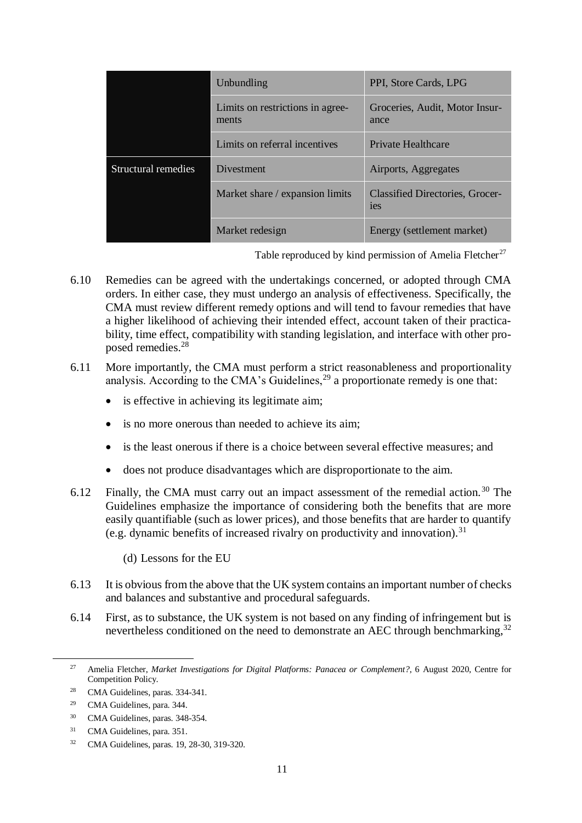|                     | Unbundling                                | PPI, Store Cards, LPG                         |
|---------------------|-------------------------------------------|-----------------------------------------------|
|                     | Limits on restrictions in agree-<br>ments | Groceries, Audit, Motor Insur-<br>ance        |
|                     | Limits on referral incentives             | <b>Private Healthcare</b>                     |
| Structural remedies | <b>Divestment</b>                         | Airports, Aggregates                          |
|                     | Market share / expansion limits           | <b>Classified Directories, Grocer-</b><br>ies |
|                     | Market redesign                           | Energy (settlement market)                    |

Table reproduced by kind permission of Amelia Fletcher<sup>27</sup>

- 6.10 Remedies can be agreed with the undertakings concerned, or adopted through CMA orders. In either case, they must undergo an analysis of effectiveness. Specifically, the CMA must review different remedy options and will tend to favour remedies that have a higher likelihood of achieving their intended effect, account taken of their practicability, time effect, compatibility with standing legislation, and interface with other proposed remedies.<sup>28</sup>
- 6.11 More importantly, the CMA must perform a strict reasonableness and proportionality analysis. According to the CMA's Guidelines,  $29$  a proportionate remedy is one that:
	- is effective in achieving its legitimate aim;
	- is no more onerous than needed to achieve its aim:
	- is the least onerous if there is a choice between several effective measures; and
	- does not produce disadvantages which are disproportionate to the aim.
- 6.12 Finally, the CMA must carry out an impact assessment of the remedial action.<sup>30</sup> The Guidelines emphasize the importance of considering both the benefits that are more easily quantifiable (such as lower prices), and those benefits that are harder to quantify (e.g. dynamic benefits of increased rivalry on productivity and innovation).<sup>31</sup>
	- (d) Lessons for the EU
- 6.13 It is obvious from the above that the UK system contains an important number of checks and balances and substantive and procedural safeguards.
- 6.14 First, as to substance, the UK system is not based on any finding of infringement but is nevertheless conditioned on the need to demonstrate an AEC through benchmarking,<sup>32</sup>

<sup>27</sup> Amelia Fletcher, *Market Investigations for Digital Platforms: Panacea or Complement?*, 6 August 2020, Centre for Competition Policy.

<sup>28</sup> CMA Guidelines, paras. 334-341.

<sup>29</sup> CMA Guidelines, para. 344.

<sup>30</sup> CMA Guidelines, paras. 348-354.

<sup>31</sup> CMA Guidelines, para. 351.

<sup>32</sup> CMA Guidelines, paras. 19, 28-30, 319-320.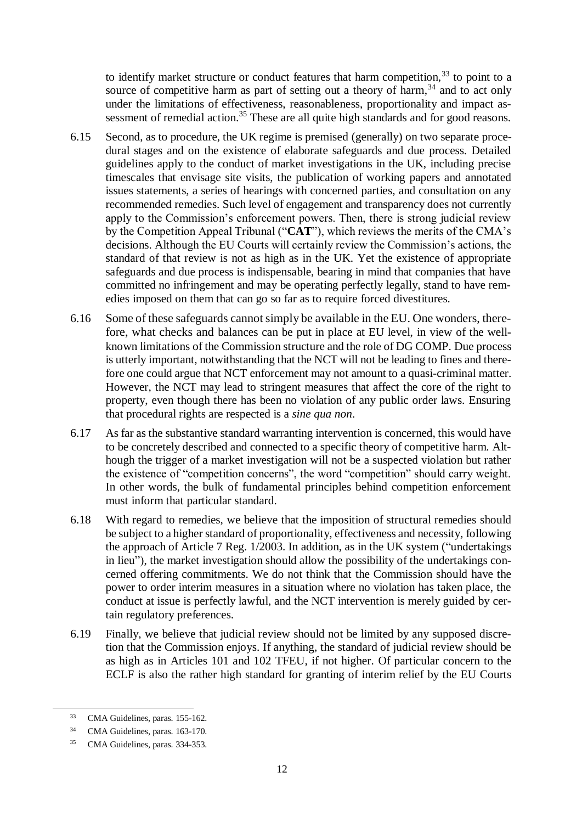to identify market structure or conduct features that harm competition,  $33$  to point to a source of competitive harm as part of setting out a theory of harm, $34$  and to act only under the limitations of effectiveness, reasonableness, proportionality and impact assessment of remedial action.<sup>35</sup> These are all quite high standards and for good reasons.

- 6.15 Second, as to procedure, the UK regime is premised (generally) on two separate procedural stages and on the existence of elaborate safeguards and due process. Detailed guidelines apply to the conduct of market investigations in the UK, including precise timescales that envisage site visits, the publication of working papers and annotated issues statements, a series of hearings with concerned parties, and consultation on any recommended remedies. Such level of engagement and transparency does not currently apply to the Commission's enforcement powers. Then, there is strong judicial review by the Competition Appeal Tribunal ("**CAT**"), which reviews the merits of the CMA's decisions. Although the EU Courts will certainly review the Commission's actions, the standard of that review is not as high as in the UK. Yet the existence of appropriate safeguards and due process is indispensable, bearing in mind that companies that have committed no infringement and may be operating perfectly legally, stand to have remedies imposed on them that can go so far as to require forced divestitures.
- 6.16 Some of these safeguards cannot simply be available in the EU. One wonders, therefore, what checks and balances can be put in place at EU level, in view of the wellknown limitations of the Commission structure and the role of DG COMP. Due process is utterly important, notwithstanding that the NCT will not be leading to fines and therefore one could argue that NCT enforcement may not amount to a quasi-criminal matter. However, the NCT may lead to stringent measures that affect the core of the right to property, even though there has been no violation of any public order laws. Ensuring that procedural rights are respected is a *sine qua non*.
- 6.17 As far as the substantive standard warranting intervention is concerned, this would have to be concretely described and connected to a specific theory of competitive harm. Although the trigger of a market investigation will not be a suspected violation but rather the existence of "competition concerns", the word "competition" should carry weight. In other words, the bulk of fundamental principles behind competition enforcement must inform that particular standard.
- 6.18 With regard to remedies, we believe that the imposition of structural remedies should be subject to a higher standard of proportionality, effectiveness and necessity, following the approach of Article 7 Reg. 1/2003. In addition, as in the UK system ("undertakings in lieu"), the market investigation should allow the possibility of the undertakings concerned offering commitments. We do not think that the Commission should have the power to order interim measures in a situation where no violation has taken place, the conduct at issue is perfectly lawful, and the NCT intervention is merely guided by certain regulatory preferences.
- 6.19 Finally, we believe that judicial review should not be limited by any supposed discretion that the Commission enjoys. If anything, the standard of judicial review should be as high as in Articles 101 and 102 TFEU, if not higher. Of particular concern to the ECLF is also the rather high standard for granting of interim relief by the EU Courts

-

<sup>33</sup> CMA Guidelines, paras. 155-162.

<sup>34</sup> CMA Guidelines, paras. 163-170.

<sup>35</sup> CMA Guidelines, paras. 334-353.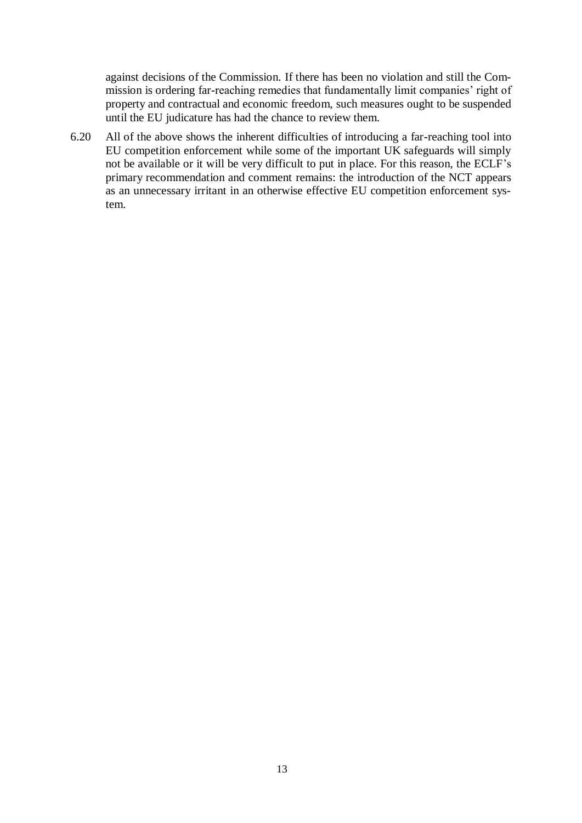against decisions of the Commission. If there has been no violation and still the Commission is ordering far-reaching remedies that fundamentally limit companies' right of property and contractual and economic freedom, such measures ought to be suspended until the EU judicature has had the chance to review them.

6.20 All of the above shows the inherent difficulties of introducing a far-reaching tool into EU competition enforcement while some of the important UK safeguards will simply not be available or it will be very difficult to put in place. For this reason, the ECLF's primary recommendation and comment remains: the introduction of the NCT appears as an unnecessary irritant in an otherwise effective EU competition enforcement system.